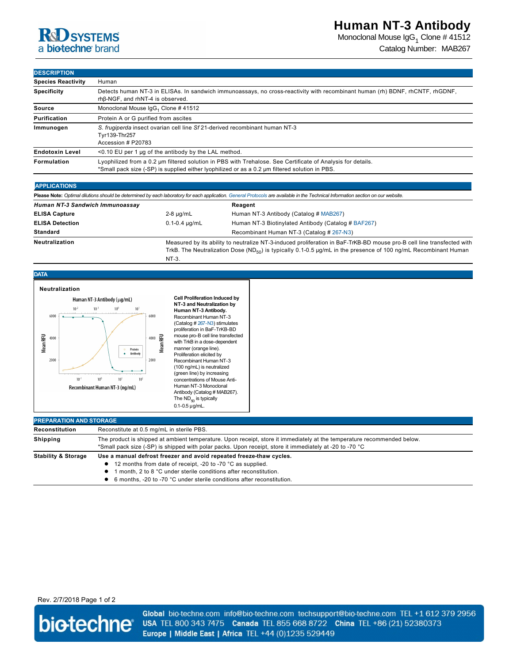# **R**d SYSTEMS a biotechne brand

Monoclonal Mouse IgG $_1$  Clone # 41512 Catalog Number: MAB267

## **DESCRIPTION**

| <b>Species Reactivity</b> | Human                                                                                                                                                                                                         |  |  |
|---------------------------|---------------------------------------------------------------------------------------------------------------------------------------------------------------------------------------------------------------|--|--|
| <b>Specificity</b>        | Detects human NT-3 in ELISAs. In sandwich immunoassays, no cross-reactivity with recombinant human (rh) BDNF, rhCNTF, rhGDNF,<br>rhβ-NGF, and rhNT-4 is observed.                                             |  |  |
| Source                    | Monoclonal Mouse IgG <sub>1</sub> Clone #41512                                                                                                                                                                |  |  |
| Purification              | Protein A or G purified from ascites                                                                                                                                                                          |  |  |
| Immunogen                 | S. frugiperda insect ovarian cell line Sf 21-derived recombinant human NT-3<br>Tyr139-Thr257<br>Accession # P20783                                                                                            |  |  |
| <b>Endotoxin Level</b>    | <0.10 EU per 1 µg of the antibody by the LAL method.                                                                                                                                                          |  |  |
| Formulation               | Lyophilized from a 0.2 µm filtered solution in PBS with Trehalose. See Certificate of Analysis for details.<br>*Small pack size (-SP) is supplied either lyophilized or as a 0.2 µm filtered solution in PBS. |  |  |

## **APPLICATIONS**

**DATA**

| Please Note: Optimal dilutions should be determined by each laboratory for each application. General Protocols are available in the Technical Information section on our website. |                                                                                                                                                                                                                                                       |                                                     |  |  |
|-----------------------------------------------------------------------------------------------------------------------------------------------------------------------------------|-------------------------------------------------------------------------------------------------------------------------------------------------------------------------------------------------------------------------------------------------------|-----------------------------------------------------|--|--|
| Human NT-3 Sandwich Immunoassav                                                                                                                                                   |                                                                                                                                                                                                                                                       | Reagent                                             |  |  |
| <b>ELISA Capture</b>                                                                                                                                                              | $2-8 \mu q/mL$                                                                                                                                                                                                                                        | Human NT-3 Antibody (Catalog # MAB267)              |  |  |
| <b>ELISA Detection</b>                                                                                                                                                            | $0.1 - 0.4 \mu q/mL$                                                                                                                                                                                                                                  | Human NT-3 Biotinylated Antibody (Catalog # BAF267) |  |  |
| <b>Standard</b>                                                                                                                                                                   |                                                                                                                                                                                                                                                       | Recombinant Human NT-3 (Catalog # 267-N3)           |  |  |
| <b>Neutralization</b>                                                                                                                                                             | Measured by its ability to neutralize NT-3-induced proliferation in BaF-TrKB-BD mouse pro-B cell line transfected with<br>TrkB. The Neutralization Dose (ND <sub>50</sub> ) is typically 0.1-0.5 µg/mL in the presence of 100 ng/mL Recombinant Human |                                                     |  |  |

 $NT-3$ .



**Cell Proliferation Induced by NT-3 and Neutralization by Human NT-3 Antibody.** Recombinant Human NT-3 (Catalog # 267-N3) stimulates proliferation in BaF-TrKB-BD mouse pro-B cell line transfected with TrkB in a dose-dependent manner (orange line). Proliferation elicited by Recombinant Human NT-3 (100 ng/mL) is neutralized (green line) by increasing concentrations of Mouse Anti-Human NT-3 Monoclonal Antibody (Catalog # MAB267). The  $ND_{50}$  is typically  $0.1 - 0.5$   $\mu$ g/mL.

| <b>PREPARATION AND STORAGE</b> |                                                                                                                                                                                                                                    |  |  |
|--------------------------------|------------------------------------------------------------------------------------------------------------------------------------------------------------------------------------------------------------------------------------|--|--|
| Reconstitution                 | Reconstitute at 0.5 mg/mL in sterile PBS.                                                                                                                                                                                          |  |  |
| Shipping                       | The product is shipped at ambient temperature. Upon receipt, store it immediately at the temperature recommended below.<br>*Small pack size (-SP) is shipped with polar packs. Upon receipt, store it immediately at -20 to -70 °C |  |  |
| <b>Stability &amp; Storage</b> | Use a manual defrost freezer and avoid repeated freeze-thaw cycles.                                                                                                                                                                |  |  |
|                                | 12 months from date of receipt, -20 to -70 °C as supplied.                                                                                                                                                                         |  |  |
|                                | month, 2 to 8 °C under sterile conditions after reconstitution.                                                                                                                                                                    |  |  |
|                                | 6 months. -20 to -70 °C under sterile conditions after reconstitution.                                                                                                                                                             |  |  |

## Rev. 2/7/2018 Page 1 of 2



Global bio-techne.com info@bio-techne.com techsupport@bio-techne.com TEL +1 612 379 2956 USA TEL 800 343 7475 Canada TEL 855 668 8722 China TEL +86 (21) 52380373 Europe | Middle East | Africa TEL +44 (0)1235 529449